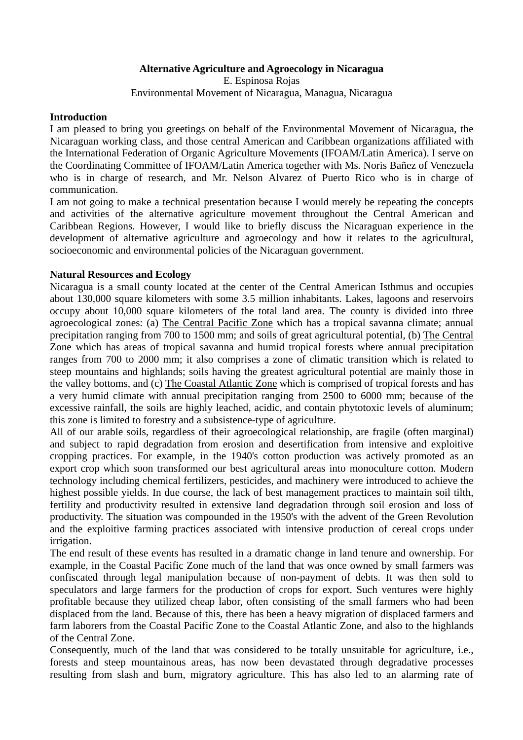## **Alternative Agriculture and Agroecology in Nicaragua**

E. Espinosa Rojas Environmental Movement of Nicaragua, Managua, Nicaragua

### **Introduction**

I am pleased to bring you greetings on behalf of the Environmental Movement of Nicaragua, the Nicaraguan working class, and those central American and Caribbean organizations affiliated with the International Federation of Organic Agriculture Movements (IFOAM/Latin America). I serve on the Coordinating Committee of IFOAM/Latin America together with Ms. Noris Bañez of Venezuela who is in charge of research, and Mr. Nelson Alvarez of Puerto Rico who is in charge of communication.

I am not going to make a technical presentation because I would merely be repeating the concepts and activities of the alternative agriculture movement throughout the Central American and Caribbean Regions. However, I would like to briefly discuss the Nicaraguan experience in the development of alternative agriculture and agroecology and how it relates to the agricultural, socioeconomic and environmental policies of the Nicaraguan government.

### **Natural Resources and Ecology**

Nicaragua is a small county located at the center of the Central American Isthmus and occupies about 130,000 square kilometers with some 3.5 million inhabitants. Lakes, lagoons and reservoirs occupy about 10,000 square kilometers of the total land area. The county is divided into three agroecological zones: (a) The Central Pacific Zone which has a tropical savanna climate; annual precipitation ranging from 700 to 1500 mm; and soils of great agricultural potential, (b) The Central Zone which has areas of tropical savanna and humid tropical forests where annual precipitation ranges from 700 to 2000 mm; it also comprises a zone of climatic transition which is related to steep mountains and highlands; soils having the greatest agricultural potential are mainly those in the valley bottoms, and (c) The Coastal Atlantic Zone which is comprised of tropical forests and has a very humid climate with annual precipitation ranging from 2500 to 6000 mm; because of the excessive rainfall, the soils are highly leached, acidic, and contain phytotoxic levels of aluminum; this zone is limited to forestry and a subsistence-type of agriculture.

All of our arable soils, regardless of their agroecological relationship, are fragile (often marginal) and subject to rapid degradation from erosion and desertification from intensive and exploitive cropping practices. For example, in the 1940's cotton production was actively promoted as an export crop which soon transformed our best agricultural areas into monoculture cotton. Modern technology including chemical fertilizers, pesticides, and machinery were introduced to achieve the highest possible yields. In due course, the lack of best management practices to maintain soil tilth, fertility and productivity resulted in extensive land degradation through soil erosion and loss of productivity. The situation was compounded in the 1950's with the advent of the Green Revolution and the exploitive farming practices associated with intensive production of cereal crops under irrigation.

The end result of these events has resulted in a dramatic change in land tenure and ownership. For example, in the Coastal Pacific Zone much of the land that was once owned by small farmers was confiscated through legal manipulation because of non-payment of debts. It was then sold to speculators and large farmers for the production of crops for export. Such ventures were highly profitable because they utilized cheap labor, often consisting of the small farmers who had been displaced from the land. Because of this, there has been a heavy migration of displaced farmers and farm laborers from the Coastal Pacific Zone to the Coastal Atlantic Zone, and also to the highlands of the Central Zone.

Consequently, much of the land that was considered to be totally unsuitable for agriculture, i.e., forests and steep mountainous areas, has now been devastated through degradative processes resulting from slash and burn, migratory agriculture. This has also led to an alarming rate of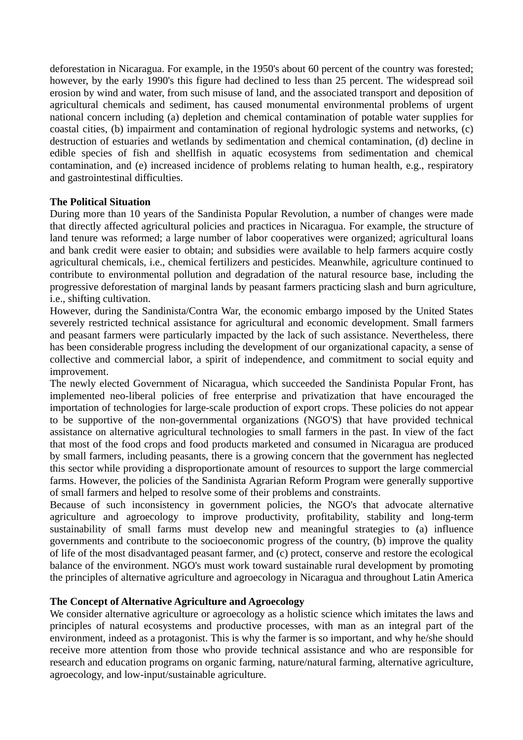deforestation in Nicaragua. For example, in the 1950's about 60 percent of the country was forested; however, by the early 1990's this figure had declined to less than 25 percent. The widespread soil erosion by wind and water, from such misuse of land, and the associated transport and deposition of agricultural chemicals and sediment, has caused monumental environmental problems of urgent national concern including (a) depletion and chemical contamination of potable water supplies for coastal cities, (b) impairment and contamination of regional hydrologic systems and networks, (c) destruction of estuaries and wetlands by sedimentation and chemical contamination, (d) decline in edible species of fish and shellfish in aquatic ecosystems from sedimentation and chemical contamination, and (e) increased incidence of problems relating to human health, e.g., respiratory and gastrointestinal difficulties.

# **The Political Situation**

During more than 10 years of the Sandinista Popular Revolution, a number of changes were made that directly affected agricultural policies and practices in Nicaragua. For example, the structure of land tenure was reformed; a large number of labor cooperatives were organized; agricultural loans and bank credit were easier to obtain; and subsidies were available to help farmers acquire costly agricultural chemicals, i.e., chemical fertilizers and pesticides. Meanwhile, agriculture continued to contribute to environmental pollution and degradation of the natural resource base, including the progressive deforestation of marginal lands by peasant farmers practicing slash and burn agriculture, i.e., shifting cultivation.

However, during the Sandinista/Contra War, the economic embargo imposed by the United States severely restricted technical assistance for agricultural and economic development. Small farmers and peasant farmers were particularly impacted by the lack of such assistance. Nevertheless, there has been considerable progress including the development of our organizational capacity, a sense of collective and commercial labor, a spirit of independence, and commitment to social equity and improvement.

The newly elected Government of Nicaragua, which succeeded the Sandinista Popular Front, has implemented neo-liberal policies of free enterprise and privatization that have encouraged the importation of technologies for large-scale production of export crops. These policies do not appear to be supportive of the non-governmental organizations (NGO'S) that have provided technical assistance on alternative agricultural technologies to small farmers in the past. In view of the fact that most of the food crops and food products marketed and consumed in Nicaragua are produced by small farmers, including peasants, there is a growing concern that the government has neglected this sector while providing a disproportionate amount of resources to support the large commercial farms. However, the policies of the Sandinista Agrarian Reform Program were generally supportive of small farmers and helped to resolve some of their problems and constraints.

Because of such inconsistency in government policies, the NGO's that advocate alternative agriculture and agroecology to improve productivity, profitability, stability and long-term sustainability of small farms must develop new and meaningful strategies to (a) influence governments and contribute to the socioeconomic progress of the country, (b) improve the quality of life of the most disadvantaged peasant farmer, and (c) protect, conserve and restore the ecological balance of the environment. NGO's must work toward sustainable rural development by promoting the principles of alternative agriculture and agroecology in Nicaragua and throughout Latin America

# **The Concept of Alternative Agriculture and Agroecology**

We consider alternative agriculture or agroecology as a holistic science which imitates the laws and principles of natural ecosystems and productive processes, with man as an integral part of the environment, indeed as a protagonist. This is why the farmer is so important, and why he/she should receive more attention from those who provide technical assistance and who are responsible for research and education programs on organic farming, nature/natural farming, alternative agriculture, agroecology, and low-input/sustainable agriculture.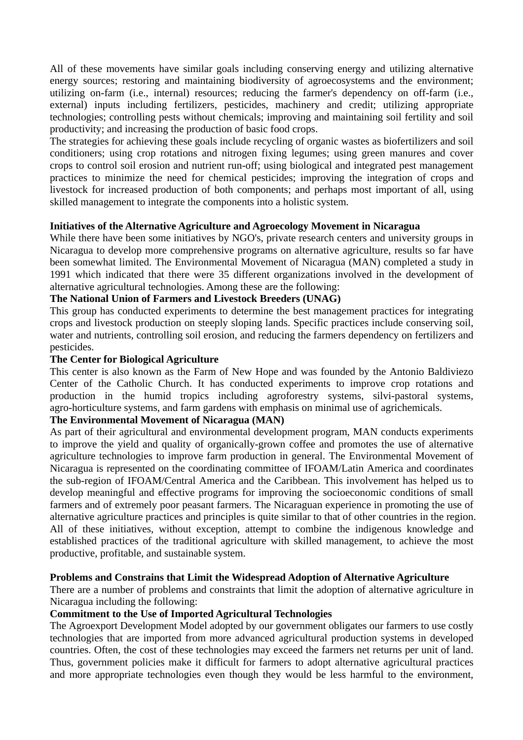All of these movements have similar goals including conserving energy and utilizing alternative energy sources; restoring and maintaining biodiversity of agroecosystems and the environment; utilizing on-farm (i.e., internal) resources; reducing the farmer's dependency on off-farm (i.e., external) inputs including fertilizers, pesticides, machinery and credit; utilizing appropriate technologies; controlling pests without chemicals; improving and maintaining soil fertility and soil productivity; and increasing the production of basic food crops.

The strategies for achieving these goals include recycling of organic wastes as biofertilizers and soil conditioners; using crop rotations and nitrogen fixing legumes; using green manures and cover crops to control soil erosion and nutrient run-off; using biological and integrated pest management practices to minimize the need for chemical pesticides; improving the integration of crops and livestock for increased production of both components; and perhaps most important of all, using skilled management to integrate the components into a holistic system.

# **Initiatives of the Alternative Agriculture and Agroecology Movement in Nicaragua**

While there have been some initiatives by NGO's, private research centers and university groups in Nicaragua to develop more comprehensive programs on alternative agriculture, results so far have been somewhat limited. The Environmental Movement of Nicaragua (MAN) completed a study in 1991 which indicated that there were 35 different organizations involved in the development of alternative agricultural technologies. Among these are the following:

## **The National Union of Farmers and Livestock Breeders (UNAG)**

This group has conducted experiments to determine the best management practices for integrating crops and livestock production on steeply sloping lands. Specific practices include conserving soil, water and nutrients, controlling soil erosion, and reducing the farmers dependency on fertilizers and pesticides.

## **The Center for Biological Agriculture**

This center is also known as the Farm of New Hope and was founded by the Antonio Baldiviezo Center of the Catholic Church. It has conducted experiments to improve crop rotations and production in the humid tropics including agroforestry systems, silvi-pastoral systems, agro-horticulture systems, and farm gardens with emphasis on minimal use of agrichemicals.

### **The Environmental Movement of Nicaragua (MAN)**

As part of their agricultural and environmental development program, MAN conducts experiments to improve the yield and quality of organically-grown coffee and promotes the use of alternative agriculture technologies to improve farm production in general. The Environmental Movement of Nicaragua is represented on the coordinating committee of IFOAM/Latin America and coordinates the sub-region of IFOAM/Central America and the Caribbean. This involvement has helped us to develop meaningful and effective programs for improving the socioeconomic conditions of small farmers and of extremely poor peasant farmers. The Nicaraguan experience in promoting the use of alternative agriculture practices and principles is quite similar to that of other countries in the region. All of these initiatives, without exception, attempt to combine the indigenous knowledge and established practices of the traditional agriculture with skilled management, to achieve the most productive, profitable, and sustainable system.

### **Problems and Constrains that Limit the Widespread Adoption of Alternative Agriculture**

There are a number of problems and constraints that limit the adoption of alternative agriculture in Nicaragua including the following:

# **Commitment to the Use of Imported Agricultural Technologies**

The Agroexport Development Model adopted by our government obligates our farmers to use costly technologies that are imported from more advanced agricultural production systems in developed countries. Often, the cost of these technologies may exceed the farmers net returns per unit of land. Thus, government policies make it difficult for farmers to adopt alternative agricultural practices and more appropriate technologies even though they would be less harmful to the environment,